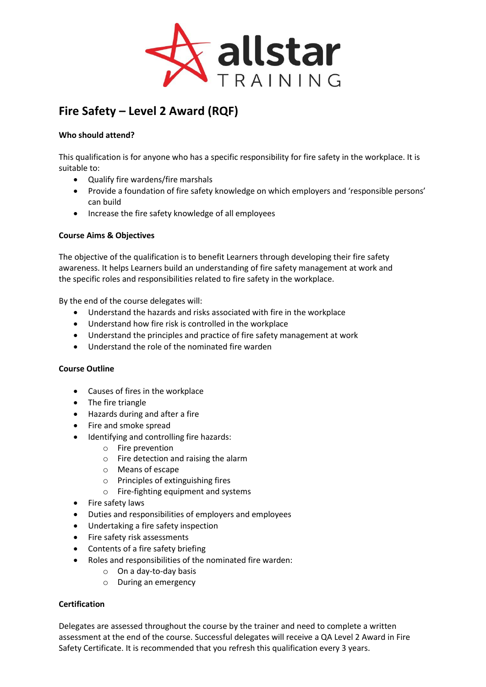

# **Fire Safety – Level 2 Award (RQF)**

## **Who should attend?**

This qualification is for anyone who has a specific responsibility for fire safety in the workplace. It is suitable to:

- Qualify fire wardens/fire marshals
- Provide a foundation of fire safety knowledge on which employers and 'responsible persons' can build
- Increase the fire safety knowledge of all employees

### **Course Aims & Objectives**

The objective of the qualification is to benefit Learners through developing their fire safety awareness. It helps Learners build an understanding of fire safety management at work and the specific roles and responsibilities related to fire safety in the workplace.

By the end of the course delegates will:

- Understand the hazards and risks associated with fire in the workplace
- Understand how fire risk is controlled in the workplace
- Understand the principles and practice of fire safety management at work
- Understand the role of the nominated fire warden

### **Course Outline**

- Causes of fires in the workplace
- The fire triangle
- Hazards during and after a fire
- Fire and smoke spread
- Identifying and controlling fire hazards:
	- o Fire prevention
	- o Fire detection and raising the alarm
	- o Means of escape
	- o Principles of extinguishing fires
	- o Fire-fighting equipment and systems
- Fire safety laws
- Duties and responsibilities of employers and employees
- Undertaking a fire safety inspection
- Fire safety risk assessments
- Contents of a fire safety briefing
- Roles and responsibilities of the nominated fire warden:
	- o On a day-to-day basis
	- o During an emergency

### **Certification**

Delegates are assessed throughout the course by the trainer and need to complete a written assessment at the end of the course. Successful delegates will receive a QA Level 2 Award in Fire Safety Certificate. It is recommended that you refresh this qualification every 3 years.